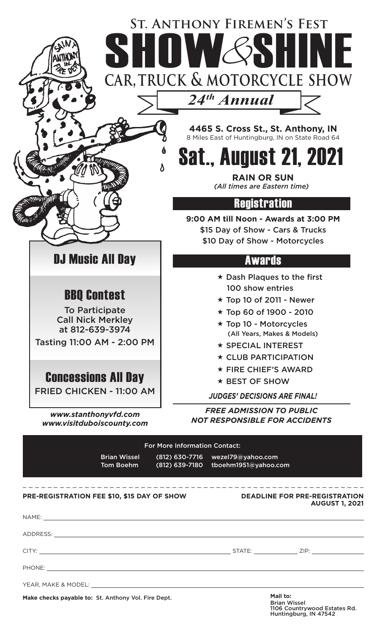## **car, truck & motorcycle show St. Anthony Firemen's Fest** ST. ANTHONY FIREMEN'S FEST

*24th Annual*

 $\boldsymbol{\delta}$ 

**4465 S. Cross St., St. Anthony, IN** 8 Miles East of Huntingburg, IN on State Road 64

Sat., August 21, 2021

**RAIN OR SUN** *(All times are Eastern time)*

## Registration

**9:00 AM till Noon - Awards at 3:00 PM** \$15 Day of Show - Cars & Trucks \$10 Day of Show - Motorcycles

## **Awards**

- $\star$  Dash Plaques to the first 100 show entries
- $\star$  Top 10 of 2011 Newer
- Top 60 of 1900 2010
- Top 10 Motorcycles (All Years, Makes & Models)
- **\* SPECIAL INTEREST**
- $\star$  CLUB PARTICIPATION
- $\star$  FIRE CHIEF'S AWARD
- $\star$  BEST OF SHOW

*JUDGES' DECISIONS ARE FINAL!*

*FREE ADMISSION TO PUBLIC NOT RESPONSIBLE FOR ACCIDENTS*

| <b>For More Information Contact:</b>                                                                                                                                                                                                 |                                  |  |                                                                                                                                                                                                                                |  |
|--------------------------------------------------------------------------------------------------------------------------------------------------------------------------------------------------------------------------------------|----------------------------------|--|--------------------------------------------------------------------------------------------------------------------------------------------------------------------------------------------------------------------------------|--|
|                                                                                                                                                                                                                                      | <b>Brian Wissel</b><br>Tom Boehm |  | (812) 630-7716 wezel79@yahoo.com<br>(812) 639-7180 tboehm1951@yahoo.com                                                                                                                                                        |  |
| PRE-REGISTRATION FEE \$10, \$15 DAY OF SHOW                                                                                                                                                                                          |                                  |  | <b>DEADLINE FOR PRE-REGISTRATION</b><br><b>AUGUST 1, 2021</b>                                                                                                                                                                  |  |
|                                                                                                                                                                                                                                      |                                  |  |                                                                                                                                                                                                                                |  |
|                                                                                                                                                                                                                                      |                                  |  |                                                                                                                                                                                                                                |  |
|                                                                                                                                                                                                                                      |                                  |  |                                                                                                                                                                                                                                |  |
| PHONE: <u>Andreas Andrew American American American American American American American American American American American American American American American American American American American American American American A</u> |                                  |  |                                                                                                                                                                                                                                |  |
|                                                                                                                                                                                                                                      |                                  |  | YEAR, MAKE & MODEL: University of the state of the state of the state of the state of the state of the state of the state of the state of the state of the state of the state of the state of the state of the state of the st |  |
| Make checks payable to: St. Anthony Vol. Fire Dept.                                                                                                                                                                                  |                                  |  | Mail to:<br><b>Brian Wissel</b>                                                                                                                                                                                                |  |

DJ Music All Day

BBQ Contest

To Participate Call Nick Merkley at 812-639-3974 Tasting 11:00 AM - 2:00 PM

Concessions All Day

FRIED CHICKEN - 11:00 AM

*www.stanthonyvfd.com www.visitduboiscounty.com*

> 1106 Countrywood Estates Rd. Huntingburg, IN 47542